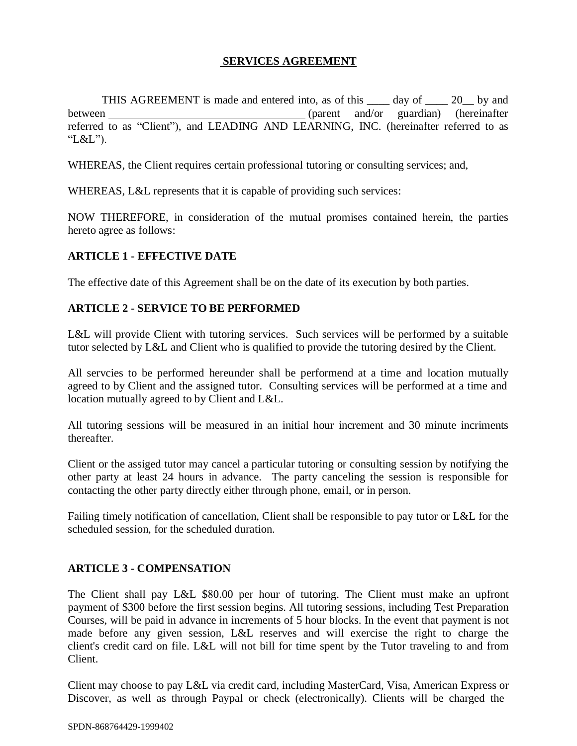#### **SERVICES AGREEMENT**

THIS AGREEMENT is made and entered into, as of this \_\_\_\_ day of \_\_\_\_ 20\_\_ by and between (parent and/or guardian) (hereinafter referred to as "Client"), and LEADING AND LEARNING, INC. (hereinafter referred to as "L&L").

WHEREAS, the Client requires certain professional tutoring or consulting services; and,

WHEREAS, L&L represents that it is capable of providing such services:

NOW THEREFORE, in consideration of the mutual promises contained herein, the parties hereto agree as follows:

## **ARTICLE 1 - EFFECTIVE DATE**

The effective date of this Agreement shall be on the date of its execution by both parties.

#### **ARTICLE 2 - SERVICE TO BE PERFORMED**

L&L will provide Client with tutoring services. Such services will be performed by a suitable tutor selected by L&L and Client who is qualified to provide the tutoring desired by the Client.

All servcies to be performed hereunder shall be performend at a time and location mutually agreed to by Client and the assigned tutor. Consulting services will be performed at a time and location mutually agreed to by Client and L&L.

All tutoring sessions will be measured in an initial hour increment and 30 minute incriments thereafter.

Client or the assiged tutor may cancel a particular tutoring or consulting session by notifying the other party at least 24 hours in advance. The party canceling the session is responsible for contacting the other party directly either through phone, email, or in person.

Failing timely notification of cancellation, Client shall be responsible to pay tutor or L&L for the scheduled session, for the scheduled duration.

## **ARTICLE 3 - COMPENSATION**

The Client shall pay L&L \$80.00 per hour of tutoring. The Client must make an upfront payment of \$300 before the first session begins. All tutoring sessions, including Test Preparation Courses, will be paid in advance in increments of 5 hour blocks. In the event that payment is not made before any given session, L&L reserves and will exercise the right to charge the client's credit card on file. L&L will not bill for time spent by the Tutor traveling to and from Client.

Client may choose to pay L&L via credit card, including MasterCard, Visa, American Express or Discover, as well as through Paypal or check (electronically). Clients will be charged the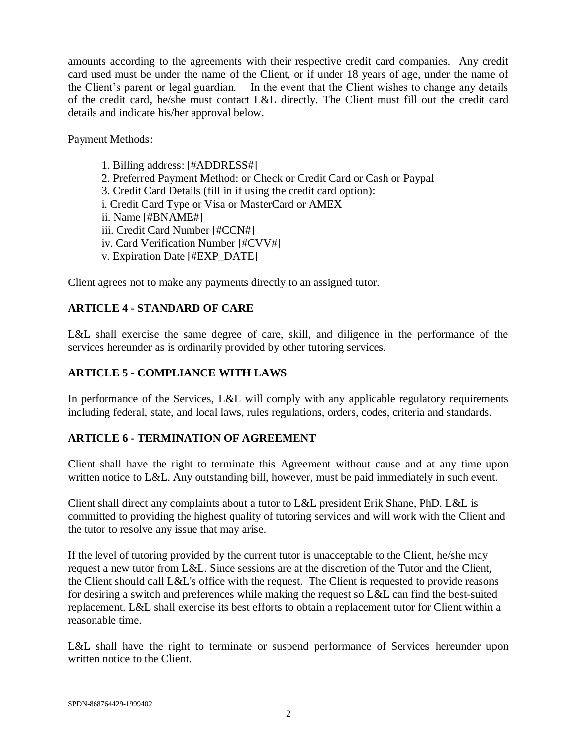amounts according to the agreements with their respective credit card companies. Any credit card used must be under the name of the Client, or if under 18 years of age, under the name of the Client's parent or legal guardian. In the event that the Client wishes to change any details of the credit card, he/she must contact L&L directly. The Client must fill out the credit card details and indicate his/her approval below.

Payment Methods:

1. Billing address: [#ADDRESS#] 2. Preferred Payment Method: or Check or Credit Card or Cash or Paypal 3. Credit Card Details (fill in if using the credit card option): i. Credit Card Type or Visa or MasterCard or AMEX ii. Name [#BNAME#] iii. Credit Card Number [#CCN#] iv. Card Verification Number [#CVV#] v. Expiration Date [#EXP\_DATE]

Client agrees not to make any payments directly to an assigned tutor.

# **ARTICLE 4 - STANDARD OF CARE**

L&L shall exercise the same degree of care, skill, and diligence in the performance of the services hereunder as is ordinarily provided by other tutoring services.

## **ARTICLE 5 - COMPLIANCE WITH LAWS**

In performance of the Services, L&L will comply with any applicable regulatory requirements including federal, state, and local laws, rules regulations, orders, codes, criteria and standards.

## **ARTICLE 6 - TERMINATION OF AGREEMENT**

Client shall have the right to terminate this Agreement without cause and at any time upon written notice to L&L. Any outstanding bill, however, must be paid immediately in such event.

Client shall direct any complaints about a tutor to L&L president Erik Shane, PhD. L&L is committed to providing the highest quality of tutoring services and will work with the Client and the tutor to resolve any issue that may arise.

If the level of tutoring provided by the current tutor is unacceptable to the Client, he/she may request a new tutor from L&L. Since sessions are at the discretion of the Tutor and the Client, the Client should call L&L's office with the request. The Client is requested to provide reasons for desiring a switch and preferences while making the request so L&L can find the best-suited replacement. L&L shall exercise its best efforts to obtain a replacement tutor for Client within a reasonable time.

L&L shall have the right to terminate or suspend performance of Services hereunder upon written notice to the Client.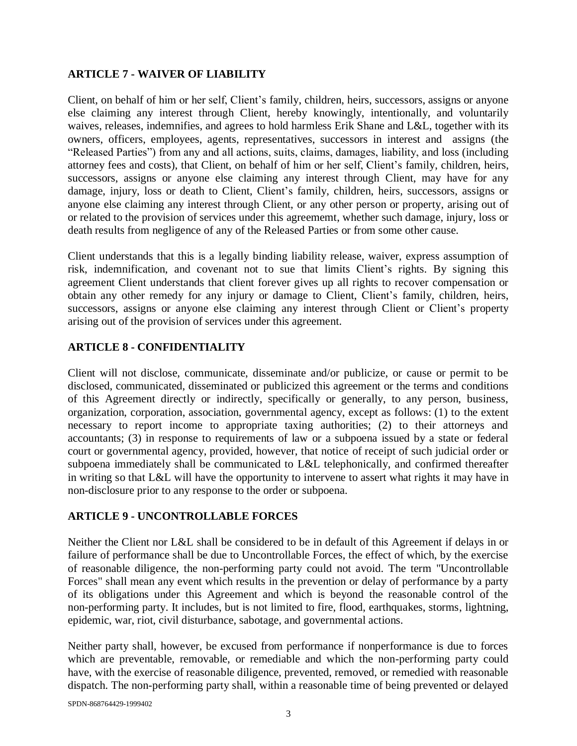#### **ARTICLE 7 - WAIVER OF LIABILITY**

Client, on behalf of him or her self, Client's family, children, heirs, successors, assigns or anyone else claiming any interest through Client, hereby knowingly, intentionally, and voluntarily waives, releases, indemnifies, and agrees to hold harmless Erik Shane and L&L, together with its owners, officers, employees, agents, representatives, successors in interest and assigns (the "Released Parties") from any and all actions, suits, claims, damages, liability, and loss (including attorney fees and costs), that Client, on behalf of him or her self, Client's family, children, heirs, successors, assigns or anyone else claiming any interest through Client, may have for any damage, injury, loss or death to Client, Client's family, children, heirs, successors, assigns or anyone else claiming any interest through Client, or any other person or property, arising out of or related to the provision of services under this agreememt, whether such damage, injury, loss or death results from negligence of any of the Released Parties or from some other cause.

Client understands that this is a legally binding liability release, waiver, express assumption of risk, indemnification, and covenant not to sue that limits Client's rights. By signing this agreement Client understands that client forever gives up all rights to recover compensation or obtain any other remedy for any injury or damage to Client, Client's family, children, heirs, successors, assigns or anyone else claiming any interest through Client or Client's property arising out of the provision of services under this agreement.

## **ARTICLE 8 - CONFIDENTIALITY**

Client will not disclose, communicate, disseminate and/or publicize, or cause or permit to be disclosed, communicated, disseminated or publicized this agreement or the terms and conditions of this Agreement directly or indirectly, specifically or generally, to any person, business, organization, corporation, association, governmental agency, except as follows: (1) to the extent necessary to report income to appropriate taxing authorities; (2) to their attorneys and accountants; (3) in response to requirements of law or a subpoena issued by a state or federal court or governmental agency, provided, however, that notice of receipt of such judicial order or subpoena immediately shall be communicated to L&L telephonically, and confirmed thereafter in writing so that L&L will have the opportunity to intervene to assert what rights it may have in non-disclosure prior to any response to the order or subpoena.

## **ARTICLE 9 - UNCONTROLLABLE FORCES**

Neither the Client nor L&L shall be considered to be in default of this Agreement if delays in or failure of performance shall be due to Uncontrollable Forces, the effect of which, by the exercise of reasonable diligence, the non-performing party could not avoid. The term "Uncontrollable Forces" shall mean any event which results in the prevention or delay of performance by a party of its obligations under this Agreement and which is beyond the reasonable control of the non-performing party. It includes, but is not limited to fire, flood, earthquakes, storms, lightning, epidemic, war, riot, civil disturbance, sabotage, and governmental actions.

Neither party shall, however, be excused from performance if nonperformance is due to forces which are preventable, removable, or remediable and which the non-performing party could have, with the exercise of reasonable diligence, prevented, removed, or remedied with reasonable dispatch. The non-performing party shall, within a reasonable time of being prevented or delayed